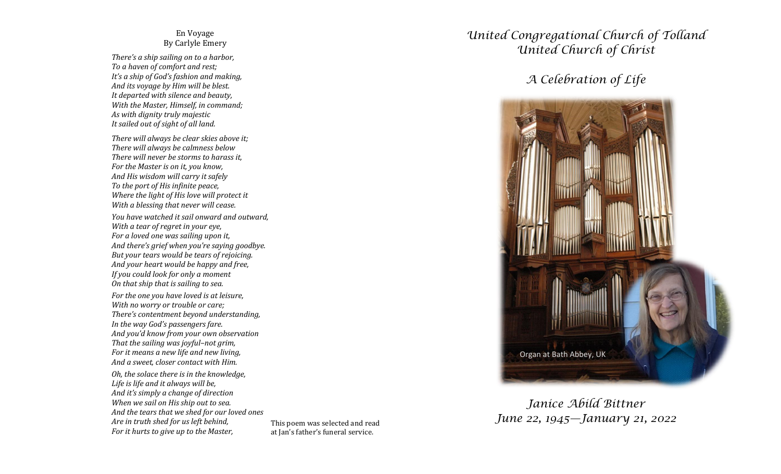## En Voyage By Carlyle Emery

*There's a ship sailing on to a harbor, To a haven of comfort and rest; It's a ship of God's fashion and making, And its voyage by Him will be blest. It departed with silence and beauty, With the Master, Himself, in command; As with dignity truly majestic It sailed out of sight of all land.*

*There will always be clear skies above it; There will always be calmness below There will never be storms to harass it, For the Master is on it, you know, And His wisdom will carry it safely To the port of His infinite peace, Where the light of His love will protect it With a blessing that never will cease.*

*You have watched it sail onward and outward, With a tear of regret in your eye, For a loved one was sailing upon it, And there's grief when you're saying goodbye. But your tears would be tears of rejoicing. And your heart would be happy and free, If you could look for only a moment On that ship that is sailing to sea.*

*For the one you have loved is at leisure, With no worry or trouble or care; There's contentment beyond understanding, In the way God's passengers fare. And you'd know from your own observation That the sailing was joyful–not grim, For it means a new life and new living, And a sweet, closer contact with Him.*

*Oh, the solace there is in the knowledge, Life is life and it always will be, And it's simply a change of direction When we sail on His ship out to sea. And the tears that we shed for our loved ones Are in truth shed for us left behind, For it hurts to give up to the Master,*

at Jan's father's funeral service.

## *United Congregational Church of Tolland United Church of Christ*

## *A Celebration of Life*



## *Janice Abild Bittner* This poem was selected and read *June 22, 1945*—*January 21, 2022*